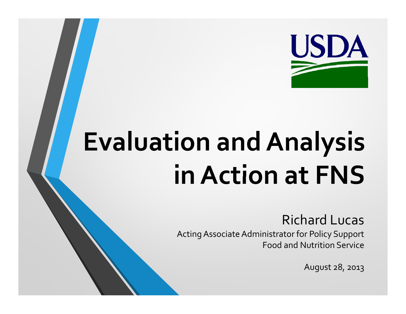

# **E l ti d A l i Eva luation an Ana lys is**   $\overline{a}$  **h Action at FNS**

#### Richard Lucas

Acting Associate Administrator for Policy Support Food and Nutrition Service

August 28, 2013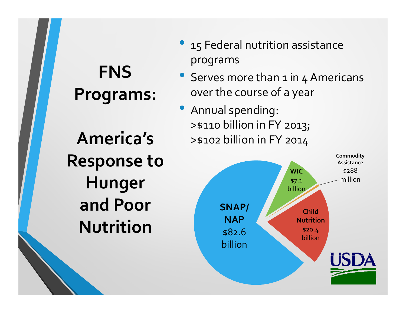### programs **FNS Programs:**

**America'sResponse to Hunger** and Poor SNAP/ **Nutrition**

- 15 Federal nutrition assistance
- Serves more than  $1$  in  $4$  Americans over the course of a year
- Annual spending: >\$110 billion in FY 2013;  $\mathsf S$  >\$102 billion in FY 2014

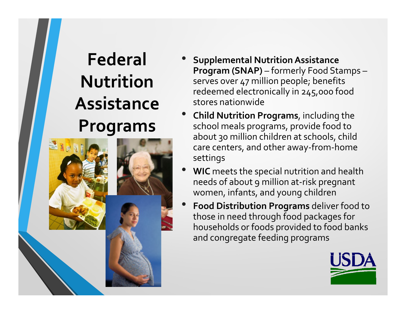#### **Federal Nutrition iAssistance Programs**



- •• Supplemental Nutrition Assistance **Program (SNAP)** – formerly Food Stamps – serves over 47 million people; benefits redeemed electronically in 245,000 food stores nationwide
- • **Child Nutrition Programs**, including the school meals programs, provide food to about 30 million children at schools, child care centers, and other away-from-home settings
- • **WIC** meets the s pecial nutrition and health needs of about 9 million at-risk pregnant women, infants, and young children
- • **Food Distribution Programs** deliver food to those in need through food packages for households or foods provided to food banks and congregate feeding programs

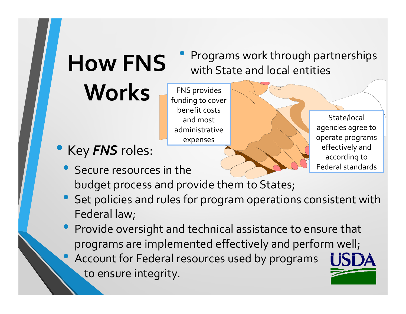## **How FNS**

**Works**

**HOW FNS** Programs work through partnerships with State and local entities

> State/local agencies agree to

operate programs operate

effectively and according to Federal standards

 $\bullet$ Key *FNS* roles:

 $\bullet$ Secure resources in the

budget process and provide them to States;

FNS provides

benefit costs

and most administrative

expenses

 $\begin{array}{\mathbf{S} \setminus \end{array}$  funding to cover

- $\bullet$  Set policies and rules for program operations consistent with Federal law;
- $\bullet$  Provide oversight and technical assistance to ensure that programs are implemented effectively and perform well;  $\bullet$ • Account for Federal resources used by programs to ensure integrity.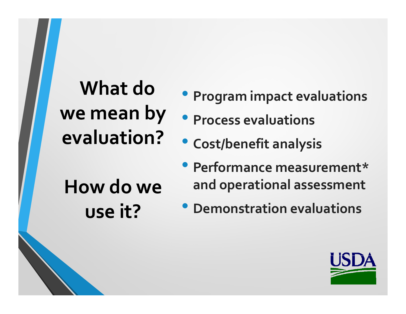#### **What do we mean by evaluation?** •

**How do we** 

**use it?**

- **Program impact evaluations Program**
- **Process evaluations**
- **Cost/benefit analysis**
- **Performance measurement\* and operational assessment**
- **Demonstration evaluations**

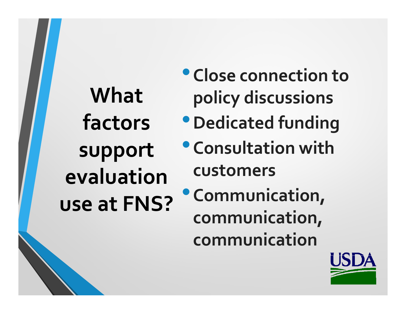**What factors support evaluationuse at FNS?**

- •**Close connection to policy discussions**
- •**Dedicated funding**
- •**Consultation with customers**
- •**Communication, communication, communication**

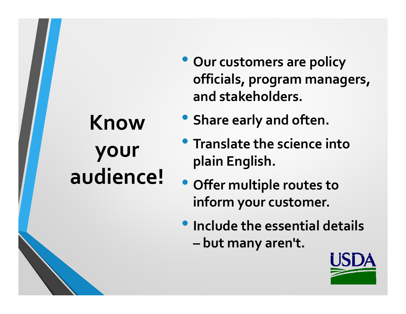## **Know your audience!**

- **O <sup>t</sup> li ur customers are policy officials, program managers, and stakeholders stakeholders.**
- **Share early and often.**
- **Translate the science into plain English.**
- **Offer multiple routes to inform your customer.**
- **Include the essential details** 
	- **– but many aren't.**

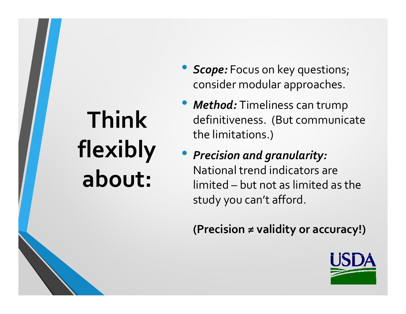## **Think** flexibly **about:**

- *Scope:* Focus on key questions; consider modular approaches.
- • *Method:* Timeliness can trump definitiveness. (But communicate the limitations.)
- *Precision and granularity:* National trend indicators are limited – but not as limited as the study you can't afford.

**(Precision ≠ validity or accuracy!)** 

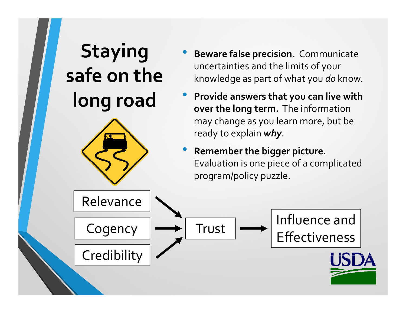#### Staying • Beware false precision. Communicate **safe on the long road** uncertainties and the limits of your knowledge as part of what you *do* know. • **Provide answers that you can live with that can live over the long term.** The information may change as you learn more, but be ready to explain *why*. • **Remember the bigger picture.** Evaluation is one piece of a complicated program/policy puzzle. Influence and Relevance  $\fbox{Cogency} \longrightarrow \fbox{Trust} \longrightarrow \fbox{Influence and}$ **Credibility**